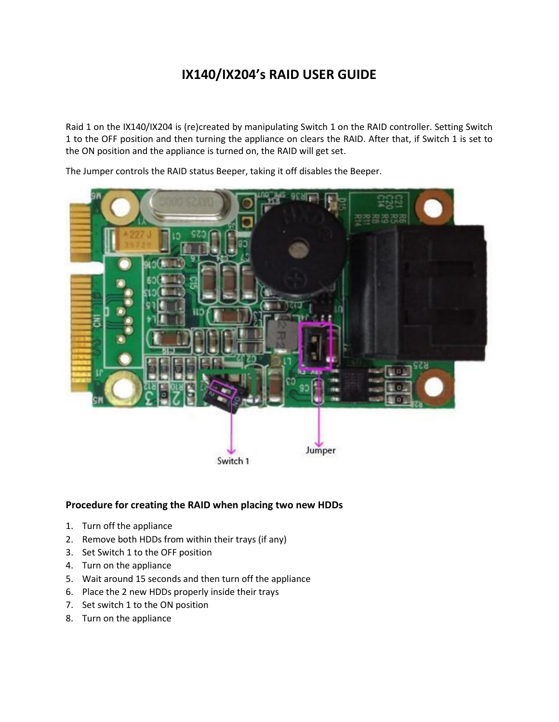## **IX140/IX204's RAID USER GUIDE**

Raid 1 on the IX140/IX204 is (re)created by manipulating Switch 1 on the RAID controller. Setting Switch 1 to the OFF position and then turning the appliance on clears the RAID. After that, if Switch 1 is set to the ON position and the appliance is turned on, the RAID will get set.

The Jumper controls the RAID status Beeper, taking it off disables the Beeper.



## **Procedure for creating the RAID when placing two new HDDs**

- 1. Turn off the appliance
- 2. Remove both HDDs from within their trays (if any)
- 3. Set Switch 1 to the OFF position
- 4. Turn on the appliance
- 5. Wait around 15 seconds and then turn off the appliance
- 6. Place the 2 new HDDs properly inside their trays
- 7. Set switch 1 to the ON position
- 8. Turn on the appliance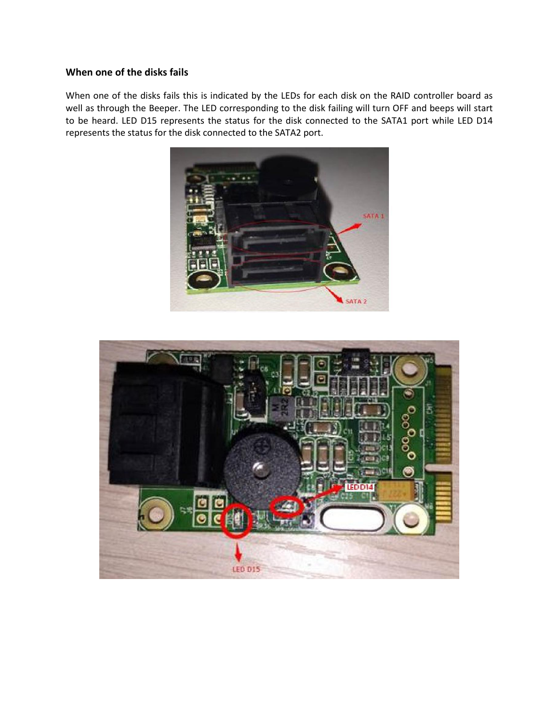## **When one of the disks fails**

When one of the disks fails this is indicated by the LEDs for each disk on the RAID controller board as well as through the Beeper. The LED corresponding to the disk failing will turn OFF and beeps will start to be heard. LED D15 represents the status for the disk connected to the SATA1 port while LED D14 represents the status for the disk connected to the SATA2 port.